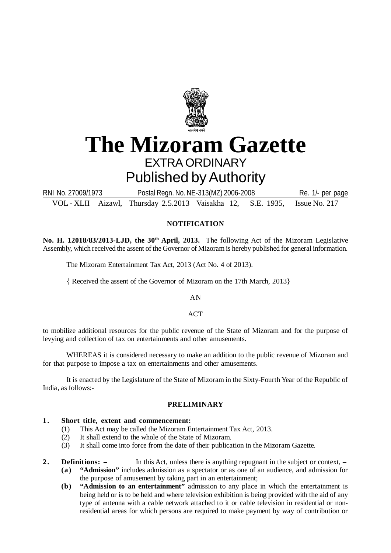

# **The Mizoram Gazette** EXTRA ORDINARY Published by Authority

VOL - XLII Aizawl, Thursday 2.5.2013 Vaisakha 12, S.E. 1935, Issue No. 217 RNI No. 27009/1973 Postal Regn. No. NE-313(MZ) 2006-2008 Re. 1/- per page

# **NOTIFICATION**

**No. H. 12018/83/2013-LJD, the 30th April, 2013.** The following Act of the Mizoram Legislative Assembly, which received the assent of the Governor of Mizoram is hereby published for general information.

The Mizoram Entertainment Tax Act, 2013 (Act No. 4 of 2013).

{ Received the assent of the Governor of Mizoram on the 17th March, 2013}

AN

 $ACT$ 

to mobilize additional resources for the public revenue of the State of Mizoram and for the purpose of levying and collection of tax on entertainments and other amusements.

WHEREAS it is considered necessary to make an addition to the public revenue of Mizoram and for that purpose to impose a tax on entertainments and other amusements.

It is enacted by the Legislature of the State of Mizoram in the Sixty-Fourth Year of the Republic of India, as follows:-

### **PRELIMINARY**

# **1 . Short title, extent and commencement:**

- (1) This Act may be called the Mizoram Entertainment Tax Act, 2013.
- (2) It shall extend to the whole of the State of Mizoram.
- (3) It shall come into force from the date of their publication in the Mizoram Gazette.
- **2. Definitions:** In this Act, unless there is anything repugnant in the subject or context,
	- **(a) "Admission"** includes admission as a spectator or as one of an audience, and admission for the purpose of amusement by taking part in an entertainment;
	- **(b) "Admission to an entertainment"** admission to any place in which the entertainment is being held or is to be held and where television exhibition is being provided with the aid of any type of antenna with a cable network attached to it or cable television in residential or nonresidential areas for which persons are required to make payment by way of contribution or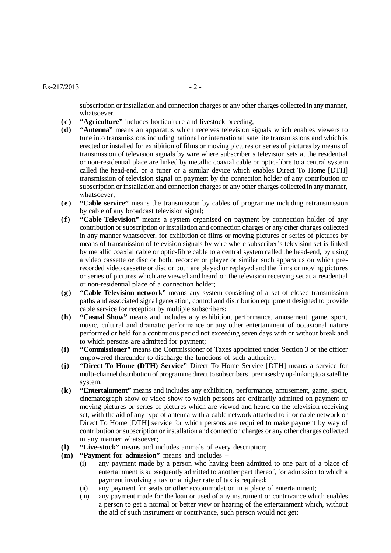## $Ex-217/2013$  - 2 -

subscription or installation and connection charges or any other charges collected in any manner, whatsoever.

- **(c ) "Agriculture"** includes horticulture and livestock breeding;
- **(d) "Antenna"** means an apparatus which receives television signals which enables viewers to tune into transmissions including national or international satellite transmissions and which is erected or installed for exhibition of films or moving pictures or series of pictures by means of transmission of television signals by wire where subscriber's television sets at the residential or non-residential place are linked by metallic coaxial cable or optic-fibre to a central system called the head-end, or a tuner or a similar device which enables Direct To Home [DTH] transmission of television signal on payment by the connection holder of any contribution or subscription or installation and connection charges or any other charges collected in any manner, whatsoever;
- **(e ) "Cable service"** means the transmission by cables of programme including retransmission by cable of any broadcast television signal;
- **(f) "Cable Television"** means a system organised on payment by connection holder of any contribution or subscription or installation and connection charges or any other charges collected in any manner whatsoever, for exhibition of films or moving pictures or series of pictures by means of transmission of television signals by wire where subscriber's television set is linked by metallic coaxial cable or optic-fibre cable to a central system called the head-end, by using a video cassette or disc or both, recorder or player or similar such apparatus on which prerecorded video cassette or disc or both are played or replayed and the films or moving pictures or series of pictures which are viewed and heard on the television receiving set at a residential or non-residential place of a connection holder;
- **(g) "Cable Television network"** means any system consisting of a set of closed transmission paths and associated signal generation, control and distribution equipment designed to provide cable service for reception by multiple subscribers;
- **(h) "Casual Show"** means and includes any exhibition, performance, amusement, game, sport, music, cultural and dramatic performance or any other entertainment of occasional nature performed or held for a continuous period not exceeding seven days with or without break and to which persons are admitted for payment;
- **(i) "Commissioner"** means the Commissioner of Taxes appointed under Section 3 or the officer empowered thereunder to discharge the functions of such authority;
- **(j) "Direct To Home (DTH) Service"** Direct To Home Service [DTH] means a service for multi-channel distribution of programme direct to subscribers' premises by up-linking to a satellite system.
- **(k) "Entertainment"** means and includes any exhibition, performance, amusement, game, sport, cinematograph show or video show to which persons are ordinarily admitted on payment or moving pictures or series of pictures which are viewed and heard on the television receiving set, with the aid of any type of antenna with a cable network attached to it or cable network or Direct To Home [DTH] service for which persons are required to make payment by way of contribution or subscription or installation and connection charges or any other charges collected in any manner whatsoever;
- **(l) "Live-stock"** means and includes animals of every description;
- **(m) "Payment for admission"** means and includes
	- (i) any payment made by a person who having been admitted to one part of a place of entertainment is subsequently admitted to another part thereof, for admission to which a payment involving a tax or a higher rate of tax is required;
	- (ii) any payment for seats or other accommodation in a place of entertainment;
	- (iii) any payment made for the loan or used of any instrument or contrivance which enables a person to get a normal or better view or hearing of the entertainment which, without the aid of such instrument or contrivance, such person would not get;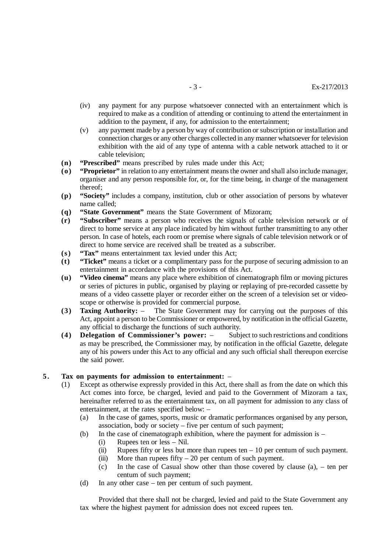- (iv) any payment for any purpose whatsoever connected with an entertainment which is required to make as a condition of attending or continuing to attend the entertainment in addition to the payment, if any, for admission to the entertainment;
- (v) any payment made by a person by way of contribution or subscription or installation and connection charges or any other charges collected in any manner whatsoever for television exhibition with the aid of any type of antenna with a cable network attached to it or cable television;
- **(n) "Prescribed"** means prescribed by rules made under this Act;
- **(o) "Proprietor"** in relation to any entertainment means the owner and shall also include manager, organiser and any person responsible for, or, for the time being, in charge of the management thereof;
- **(p) "Society"** includes a company, institution, club or other association of persons by whatever name called;
- **(q) "State Government"** means the State Government of Mizoram;
- **(r) "Subscriber"** means a person who receives the signals of cable television network or of direct to home service at any place indicated by him without further transmitting to any other person. In case of hotels, each room or premise where signals of cable television network or of direct to home service are received shall be treated as a subscriber.
- **(s ) "Tax"** means entertainment tax levied under this Act;
- **(t) "Ticket"** means a ticket or a complimentary pass for the purpose of securing admission to an entertainment in accordance with the provisions of this Act.
- **(u) "Video cinema"** means any place where exhibition of cinematograph film or moving pictures or series of pictures in public, organised by playing or replaying of pre-recorded cassette by means of a video cassette player or recorder either on the screen of a television set or videoscope or otherwise is provided for commercial purpose.
- **(3) Taxing Authority:** The State Government may for carrying out the purposes of this Act, appoint a person to be Commissioner or empowered, by notification in the official Gazette, any official to discharge the functions of such authority.
- **(4) Delegation of Commissioner's power:** Subject to such restrictions and conditions as may be prescribed, the Commissioner may, by notification in the official Gazette, delegate any of his powers under this Act to any official and any such official shall thereupon exercise the said power.

### **5 . Tax on payments for admission to entertainment:** –

- (1) Except as otherwise expressly provided in this Act, there shall as from the date on which this Act comes into force, be charged, levied and paid to the Government of Mizoram a tax, hereinafter referred to as the entertainment tax, on all payment for admission to any class of entertainment, at the rates specified below: –
	- (a) In the case of games, sports, music or dramatic performances organised by any person, association, body or society – five per centum of such payment;
	- (b) In the case of cinematograph exhibition, where the payment for admission is
		- (i) Rupees ten or less Nil.
		- (ii) Rupees fifty or less but more than rupees ten  $-10$  per centum of such payment.
		- (iii) More than rupees fifty  $-20$  per centum of such payment.
		- (c) In the case of Casual show other than those covered by clause  $(a)$ , ten per centum of such payment;
	- (d) In any other case ten per centum of such payment.

Provided that there shall not be charged, levied and paid to the State Government any tax where the highest payment for admission does not exceed rupees ten.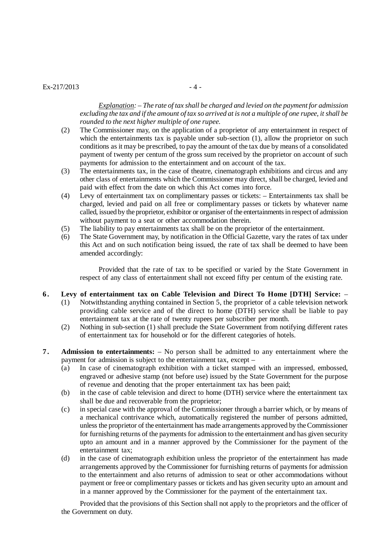### $Ex-217/2013$  - 4 -

*Explanation: – The rate of tax shall be charged and levied on the payment for admission excluding the tax and if the amount of tax so arrived at is not a multiple of one rupee, it shall be rounded to the next higher multiple of one rupee.*

- (2) The Commissioner may, on the application of a proprietor of any entertainment in respect of which the entertainments tax is payable under sub-section (1), allow the proprietor on such conditions as it may be prescribed, to pay the amount of the tax due by means of a consolidated payment of twenty per centum of the gross sum received by the proprietor on account of such payments for admission to the entertainment and on account of the tax.
- (3) The entertainments tax, in the case of theatre, cinematograph exhibitions and circus and any other class of entertainments which the Commissioner may direct, shall be charged, levied and paid with effect from the date on which this Act comes into force.
- (4) Levy of entertainment tax on complimentary passes or tickets: Entertainments tax shall be charged, levied and paid on all free or complimentary passes or tickets by whatever name called, issued by the proprietor, exhibitor or organiser of the entertainments in respect of admission without payment to a seat or other accommodation therein.
- (5) The liability to pay entertainments tax shall be on the proprietor of the entertainment.
- (6) The State Government may, by notification in the Official Gazette, vary the rates of tax under this Act and on such notification being issued, the rate of tax shall be deemed to have been amended accordingly:

Provided that the rate of tax to be specified or varied by the State Government in respect of any class of entertainment shall not exceed fifty per centum of the existing rate.

- **6 . Levy of entertainment tax on Cable Television and Direct To Home [DTH] Service:**
	- (1) Notwithstanding anything contained in Section 5, the proprietor of a cable television network providing cable service and of the direct to home (DTH) service shall be liable to pay entertainment tax at the rate of twenty rupees per subscriber per month.
	- (2) Nothing in sub-section (1) shall preclude the State Government from notifying different rates of entertainment tax for household or for the different categories of hotels.
- **7 . Admission to entertainments:** No person shall be admitted to any entertainment where the payment for admission is subject to the entertainment tax, except –
	- (a) In case of cinematograph exhibition with a ticket stamped with an impressed, embossed, engraved or adhesive stamp (not before use) issued by the State Government for the purpose of revenue and denoting that the proper entertainment tax has been paid;
	- (b) in the case of cable television and direct to home (DTH) service where the entertainment tax shall be due and recoverable from the proprietor;
	- (c) in special case with the approval of the Commissioner through a barrier which, or by means of a mechanical contrivance which, automatically registered the number of persons admitted, unless the proprietor of the entertainment has made arrangements approved by the Commissioner for furnishing returns of the payments for admission to the entertainment and has given security upto an amount and in a manner approved by the Commissioner for the payment of the entertainment tax;
	- (d) in the case of cinematograph exhibition unless the proprietor of the entertainment has made arrangements approved by the Commissioner for furnishing returns of payments for admission to the entertainment and also returns of admission to seat or other accommodations without payment or free or complimentary passes or tickets and has given security upto an amount and in a manner approved by the Commissioner for the payment of the entertainment tax.

Provided that the provisions of this Section shall not apply to the proprietors and the officer of the Government on duty.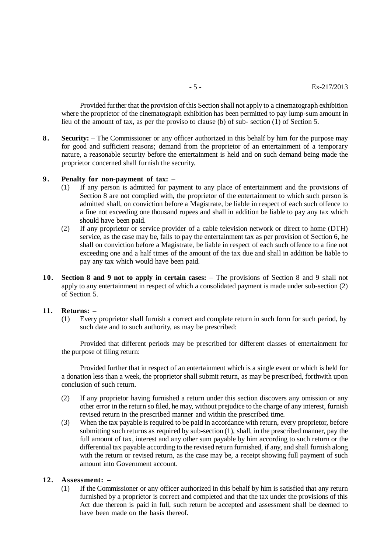Provided further that the provision of this Section shall not apply to a cinematograph exhibition where the proprietor of the cinematograph exhibition has been permitted to pay lump-sum amount in lieu of the amount of tax, as per the proviso to clause (b) of sub- section (1) of Section 5.

**8 . Security:** – The Commissioner or any officer authorized in this behalf by him for the purpose may for good and sufficient reasons; demand from the proprietor of an entertainment of a temporary nature, a reasonable security before the entertainment is held and on such demand being made the proprietor concerned shall furnish the security.

## **9 . Penalty for non-payment of tax:** –

- (1) If any person is admitted for payment to any place of entertainment and the provisions of Section 8 are not complied with, the proprietor of the entertainment to which such person is admitted shall, on conviction before a Magistrate, be liable in respect of each such offence to a fine not exceeding one thousand rupees and shall in addition be liable to pay any tax which should have been paid.
- (2) If any proprietor or service provider of a cable television network or direct to home (DTH) service, as the case may be, fails to pay the entertainment tax as per provision of Section 6, he shall on conviction before a Magistrate, be liable in respect of each such offence to a fine not exceeding one and a half times of the amount of the tax due and shall in addition be liable to pay any tax which would have been paid.
- **10. Section 8 and 9 not to apply in certain cases:** The provisions of Section 8 and 9 shall not apply to any entertainment in respect of which a consolidated payment is made under sub-section (2) of Section 5.

#### **11. Returns: –**

(1) Every proprietor shall furnish a correct and complete return in such form for such period, by such date and to such authority, as may be prescribed:

Provided that different periods may be prescribed for different classes of entertainment for the purpose of filing return:

Provided further that in respect of an entertainment which is a single event or which is held for a donation less than a week, the proprietor shall submit return, as may be prescribed, forthwith upon conclusion of such return.

- (2) If any proprietor having furnished a return under this section discovers any omission or any other error in the return so filed, he may, without prejudice to the charge of any interest, furnish revised return in the prescribed manner and within the prescribed time.
- (3) When the tax payable is required to be paid in accordance with return, every proprietor, before submitting such returns as required by sub-section (1), shall, in the prescribed manner, pay the full amount of tax, interest and any other sum payable by him according to such return or the differential tax payable according to the revised return furnished, if any, and shall furnish along with the return or revised return, as the case may be, a receipt showing full payment of such amount into Government account.

# **12. Assessment: –**

(1) If the Commissioner or any officer authorized in this behalf by him is satisfied that any return furnished by a proprietor is correct and completed and that the tax under the provisions of this Act due thereon is paid in full, such return be accepted and assessment shall be deemed to have been made on the basis thereof.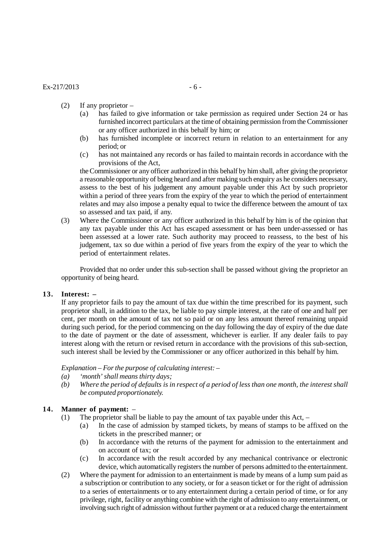- (2) If any proprietor
	- (a) has failed to give information or take permission as required under Section 24 or has furnished incorrect particulars at the time of obtaining permission from the Commissioner or any officer authorized in this behalf by him; or
	- (b) has furnished incomplete or incorrect return in relation to an entertainment for any period; or
	- (c) has not maintained any records or has failed to maintain records in accordance with the provisions of the Act,

the Commissioner or any officer authorized in this behalf by him shall, after giving the proprietor a reasonable opportunity of being heard and after making such enquiry as he considers necessary, assess to the best of his judgement any amount payable under this Act by such proprietor within a period of three years from the expiry of the year to which the period of entertainment relates and may also impose a penalty equal to twice the difference between the amount of tax so assessed and tax paid, if any.

(3) Where the Commissioner or any officer authorized in this behalf by him is of the opinion that any tax payable under this Act has escaped assessment or has been under-assessed or has been assessed at a lower rate. Such authority may proceed to reassess, to the best of his judgement, tax so due within a period of five years from the expiry of the year to which the period of entertainment relates.

Provided that no order under this sub-section shall be passed without giving the proprietor an opportunity of being heard.

#### **13. Interest: –**

If any proprietor fails to pay the amount of tax due within the time prescribed for its payment, such proprietor shall, in addition to the tax, be liable to pay simple interest, at the rate of one and half per cent, per month on the amount of tax not so paid or on any less amount thereof remaining unpaid during such period, for the period commencing on the day following the day of expiry of the due date to the date of payment or the date of assessment, whichever is earlier. If any dealer fails to pay interest along with the return or revised return in accordance with the provisions of this sub-section, such interest shall be levied by the Commissioner or any officer authorized in this behalf by him.

*Explanation – For the purpose of calculating interest: –*

- *(a) 'month' shall means thirty days;*
- *(b) Where the period of defaults is in respect of a period of less than one month, the interest shall be computed proportionately.*

## **14. Manner of payment:** –

- (1) The proprietor shall be liable to pay the amount of tax payable under this Act,
	- (a) In the case of admission by stamped tickets, by means of stamps to be affixed on the tickets in the prescribed manner; or
	- (b) In accordance with the returns of the payment for admission to the entertainment and on account of tax; or
	- (c) In accordance with the result accorded by any mechanical contrivance or electronic device, which automatically registers the number of persons admitted to the entertainment.
- (2) Where the payment for admission to an entertainment is made by means of a lump sum paid as a subscription or contribution to any society, or for a season ticket or for the right of admission to a series of entertainments or to any entertainment during a certain period of time, or for any privilege, right, facility or anything combine with the right of admission to any entertainment, or involving such right of admission without further payment or at a reduced charge the entertainment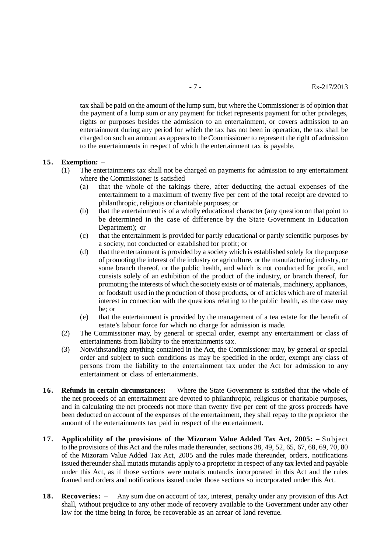tax shall be paid on the amount of the lump sum, but where the Commissioner is of opinion that the payment of a lump sum or any payment for ticket represents payment for other privileges, rights or purposes besides the admission to an entertainment, or covers admission to an entertainment during any period for which the tax has not been in operation, the tax shall be charged on such an amount as appears to the Commissioner to represent the right of admission to the entertainments in respect of which the entertainment tax is payable.

#### **15. Exemption:** –

- (1) The entertainments tax shall not be charged on payments for admission to any entertainment where the Commissioner is satisfied –
	- (a) that the whole of the takings there, after deducting the actual expenses of the entertainment to a maximum of twenty five per cent of the total receipt are devoted to philanthropic, religious or charitable purposes; or
	- (b) that the entertainment is of a wholly educational character (any question on that point to be determined in the case of difference by the State Government in Education Department); or
	- (c) that the entertainment is provided for partly educational or partly scientific purposes by a society, not conducted or established for profit; or
	- (d) that the entertainment is provided by a society which is established solely for the purpose of promoting the interest of the industry or agriculture, or the manufacturing industry, or some branch thereof, or the public health, and which is not conducted for profit, and consists solely of an exhibition of the product of the industry, or branch thereof, for promoting the interests of which the society exists or of materials, machinery, appliances, or foodstuff used in the production of those products, or of articles which are of material interest in connection with the questions relating to the public health, as the case may be; or
	- (e) that the entertainment is provided by the management of a tea estate for the benefit of estate's labour force for which no charge for admission is made.
- (2) The Commissioner may, by general or special order, exempt any entertainment or class of entertainments from liability to the entertainments tax.
- (3) Notwithstanding anything contained in the Act, the Commissioner may, by general or special order and subject to such conditions as may be specified in the order, exempt any class of persons from the liability to the entertainment tax under the Act for admission to any entertainment or class of entertainments.
- **16. Refunds in certain circumstances:** Where the State Government is satisfied that the whole of the net proceeds of an entertainment are devoted to philanthropic, religious or charitable purposes, and in calculating the net proceeds not more than twenty five per cent of the gross proceeds have been deducted on account of the expenses of the entertainment, they shall repay to the proprietor the amount of the entertainments tax paid in respect of the entertainment.
- **17. Applicability of the provisions of the Mizoram Value Added Tax Act, 2005: –** Subject to the provisions of this Act and the rules made thereunder, sections 38, 49, 52, 65, 67, 68, 69, 70, 80 of the Mizoram Value Added Tax Act, 2005 and the rules made thereunder, orders, notifications issued thereunder shall mutatis mutandis apply to a proprietor in respect of any tax levied and payable under this Act, as if those sections were mutatis mutandis incorporated in this Act and the rules framed and orders and notifications issued under those sections so incorporated under this Act.
- **18. Recoveries:** Any sum due on account of tax, interest, penalty under any provision of this Act shall, without prejudice to any other mode of recovery available to the Government under any other law for the time being in force, be recoverable as an arrear of land revenue.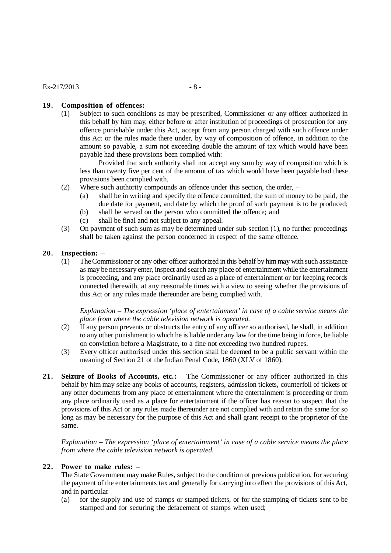# **19. Composition of offences:** –

(1) Subject to such conditions as may be prescribed, Commissioner or any officer authorized in this behalf by him may, either before or after institution of proceedings of prosecution for any offence punishable under this Act, accept from any person charged with such offence under this Act or the rules made there under, by way of composition of offence, in addition to the amount so payable, a sum not exceeding double the amount of tax which would have been payable had these provisions been complied with:

Provided that such authority shall not accept any sum by way of composition which is less than twenty five per cent of the amount of tax which would have been payable had these provisions been complied with.

- (2) Where such authority compounds an offence under this section, the order,
	- (a) shall be in writing and specify the offence committed, the sum of money to be paid, the due date for payment, and date by which the proof of such payment is to be produced;
	- (b) shall be served on the person who committed the offence; and
	- (c) shall be final and not subject to any appeal.
- (3) On payment of such sum as may be determined under sub-section (1), no further proceedings shall be taken against the person concerned in respect of the same offence.

# **20. Inspection:** –

(1) The Commissioner or any other officer authorized in this behalf by him may with such assistance as may be necessary enter, inspect and search any place of entertainment while the entertainment is proceeding, and any place ordinarily used as a place of entertainment or for keeping records connected therewith, at any reasonable times with a view to seeing whether the provisions of this Act or any rules made thereunder are being complied with.

*Explanation – The expression 'place of entertainment' in case of a cable service means the place from where the cable television network is operated.*

- (2) If any person prevents or obstructs the entry of any officer so authorised, he shall, in addition to any other punishment to which he is liable under any law for the time being in force, be liable on conviction before a Magistrate, to a fine not exceeding two hundred rupees.
- (3) Every officer authorised under this section shall be deemed to be a public servant within the meaning of Section 21 of the Indian Penal Code, 1860 (XLV of 1860).
- **21. Seizure of Books of Accounts, etc.:** The Commissioner or any officer authorized in this behalf by him may seize any books of accounts, registers, admission tickets, counterfoil of tickets or any other documents from any place of entertainment where the entertainment is proceeding or from any place ordinarily used as a place for entertainment if the officer has reason to suspect that the provisions of this Act or any rules made thereunder are not complied with and retain the same for so long as may be necessary for the purpose of this Act and shall grant receipt to the proprietor of the same.

*Explanation – The expression 'place of entertainment' in case of a cable service means the place from where the cable television network is operated.*

# **22. Power to make rules:** –

The State Government may make Rules, subject to the condition of previous publication, for securing the payment of the entertainments tax and generally for carrying into effect the provisions of this Act, and in particular –

(a) for the supply and use of stamps or stamped tickets, or for the stamping of tickets sent to be stamped and for securing the defacement of stamps when used;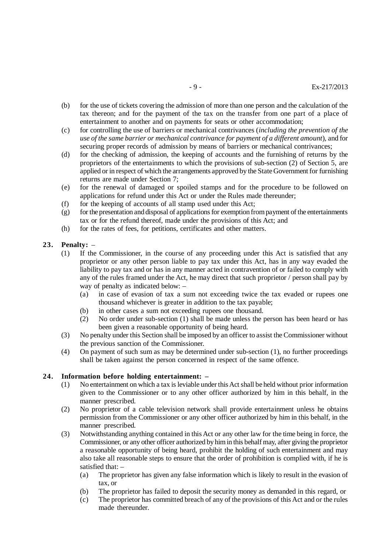- (b) for the use of tickets covering the admission of more than one person and the calculation of the tax thereon; and for the payment of the tax on the transfer from one part of a place of entertainment to another and on payments for seats or other accommodation;
- (c) for controlling the use of barriers or mechanical contrivances (*including the prevention of the use of the same barrier or mechanical contrivance for payment of a different amount*), and for securing proper records of admission by means of barriers or mechanical contrivances;
- (d) for the checking of admission, the keeping of accounts and the furnishing of returns by the proprietors of the entertainments to which the provisions of sub-section (2) of Section 5, are applied or in respect of which the arrangements approved by the State Government for furnishing returns are made under Section 7;
- (e) for the renewal of damaged or spoiled stamps and for the procedure to be followed on applications for refund under this Act or under the Rules made thereunder;
- (f) for the keeping of accounts of all stamp used under this Act;
- $(g)$  for the presentation and disposal of applications for exemption from payment of the entertainments tax or for the refund thereof, made under the provisions of this Act; and
- (h) for the rates of fees, for petitions, certificates and other matters.

# **23. Penalty:** –

- (1) If the Commissioner, in the course of any proceeding under this Act is satisfied that any proprietor or any other person liable to pay tax under this Act, has in any way evaded the liability to pay tax and or has in any manner acted in contravention of or failed to comply with any of the rules framed under the Act, he may direct that such proprietor / person shall pay by way of penalty as indicated below: –
	- (a) in case of evasion of tax a sum not exceeding twice the tax evaded or rupees one thousand whichever is greater in addition to the tax payable;
	- (b) in other cases a sum not exceeding rupees one thousand.
	- (2) No order under sub-section (1) shall be made unless the person has been heard or has been given a reasonable opportunity of being heard.
- (3) No penalty under this Section shall be imposed by an officer to assist the Commissioner without the previous sanction of the Commissioner.
- (4) On payment of such sum as may be determined under sub-section (1), no further proceedings shall be taken against the person concerned in respect of the same offence.

## **24. Information before holding entertainment: –**

- (1) No entertainment on which a tax is leviable under this Act shall be held without prior information given to the Commissioner or to any other officer authorized by him in this behalf, in the manner prescribed.
- (2) No proprietor of a cable television network shall provide entertainment unless he obtains permission from the Commissioner or any other officer authorized by him in this behalf, in the manner prescribed.
- (3) Notwithstanding anything contained in this Act or any other law for the time being in force, the Commissioner, or any other officer authorized by him in this behalf may, after giving the proprietor a reasonable opportunity of being heard, prohibit the holding of such entertainment and may also take all reasonable steps to ensure that the order of prohibition is complied with, if he is satisfied that: –
	- (a) The proprietor has given any false information which is likely to result in the evasion of tax, or
	- (b) The proprietor has failed to deposit the security money as demanded in this regard, or
	- (c) The proprietor has committed breach of any of the provisions of this Act and or the rules made thereunder.